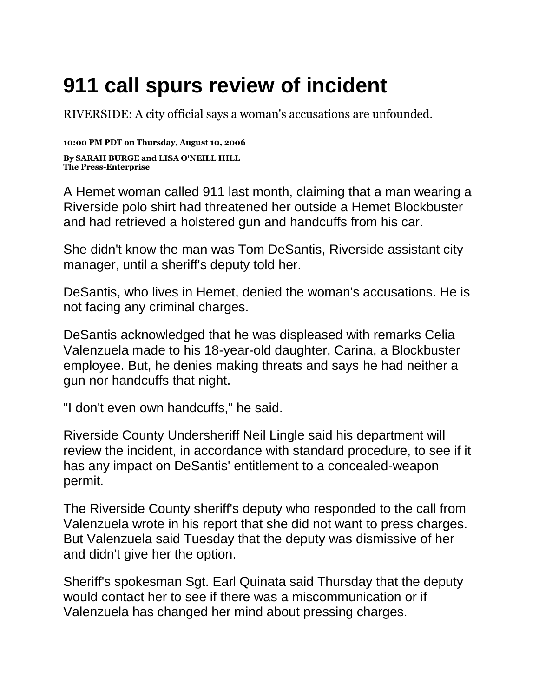## **911 call spurs review of incident**

[RIVERSIDE:](http://topics.pe.com/topic/Riverside%2C_CA) A city official says a woman's accusations are unfounded.

**10:00 PM PDT on Thursday, August 10, 2006 By SARAH BURGE and LISA O'NEILL HILL The Press-Enterprise**

A Hemet woman called 911 last month, claiming that a man wearing a [Riverside](http://topics.pe.com/topic/Riverside%2C_CA) polo shirt had threatened her outside a Hemet Blockbuster and had retrieved a holstered gun and handcuffs from his car.

She didn't know the man was Tom DeSantis, Riverside assistant city manager, until a sheriff's deputy told her.

DeSantis, who lives in Hemet, denied the woman's accusations. He is not facing any criminal charges.

DeSantis acknowledged that he was displeased with remarks Celia Valenzuela made to his 18-year-old daughter, Carina, a Blockbuster employee. But, he denies making threats and says he had neither a gun nor handcuffs that night.

"I don't even own handcuffs," he said.

Riverside County Undersheriff Neil Lingle said his department will review the incident, in accordance with standard procedure, to see if it has any impact on DeSantis' entitlement to a concealed-weapon permit.

The Riverside County sheriff's deputy who responded to the call from Valenzuela wrote in his report that she did not want to press charges. But Valenzuela said Tuesday that the deputy was dismissive of her and didn't give her the option.

Sheriff's spokesman Sgt. Earl Quinata said Thursday that the deputy would contact her to see if there was a miscommunication or if Valenzuela has changed her mind about pressing charges.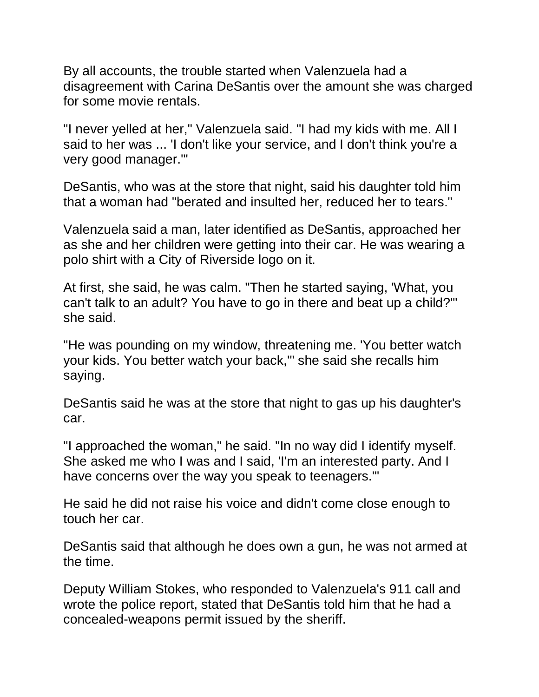By all accounts, the trouble started when Valenzuela had a disagreement with Carina DeSantis over the amount she was charged for some movie rentals.

"I never yelled at her," Valenzuela said. "I had my kids with me. All I said to her was ... 'I don't like your service, and I don't think you're a very good manager.'"

DeSantis, who was at the store that night, said his daughter told him that a woman had "berated and insulted her, reduced her to tears."

Valenzuela said a man, later identified as DeSantis, approached her as she and her children were getting into their car. He was wearing a polo shirt with a City of Riverside logo on it.

At first, she said, he was calm. "Then he started saying, 'What, you can't talk to an adult? You have to go in there and beat up a child?'" she said.

"He was pounding on my window, threatening me. 'You better watch your kids. You better watch your back,'" she said she recalls him saying.

DeSantis said he was at the store that night to gas up his daughter's car.

"I approached the woman," he said. "In no way did I identify myself. She asked me who I was and I said, 'I'm an interested party. And I have concerns over the way you speak to teenagers.'"

He said he did not raise his voice and didn't come close enough to touch her car.

DeSantis said that although he does own a gun, he was not armed at the time.

Deputy [William Stokes,](http://topics.pe.com/topic/William_Stokes) who responded to Valenzuela's 911 call and wrote the police report, stated that DeSantis told him that he had a concealed-weapons permit issued by the sheriff.